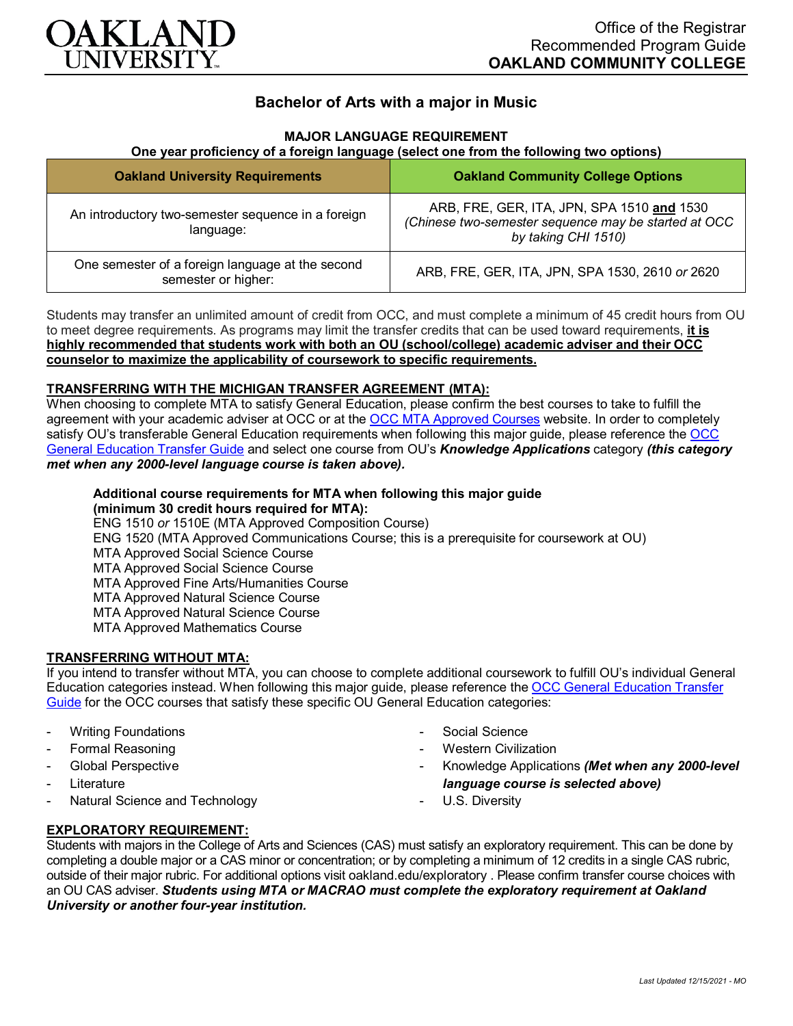

## **Bachelor of Arts with a major in Music**

### **MAJOR LANGUAGE REQUIREMENT**

### **One year proficiency of a foreign language (select one from the following two options)**

| <b>Oakland University Requirements</b>                                  | <b>Oakland Community College Options</b>                                                                                  |
|-------------------------------------------------------------------------|---------------------------------------------------------------------------------------------------------------------------|
| An introductory two-semester sequence in a foreign<br>language:         | ARB, FRE, GER, ITA, JPN, SPA 1510 and 1530<br>(Chinese two-semester sequence may be started at OCC<br>by taking CHI 1510) |
| One semester of a foreign language at the second<br>semester or higher: | ARB, FRE, GER, ITA, JPN, SPA 1530, 2610 or 2620                                                                           |

Students may transfer an unlimited amount of credit from OCC, and must complete a minimum of 45 credit hours from OU to meet degree requirements. As programs may limit the transfer credits that can be used toward requirements, **it is highly recommended that students work with both an OU (school/college) academic adviser and their OCC counselor to maximize the applicability of coursework to specific requirements.**

### **TRANSFERRING WITH THE MICHIGAN TRANSFER AGREEMENT (MTA):**

When choosing to complete MTA to satisfy General Education, please confirm the best courses to take to fulfill the agreement with your academic adviser at OCC or at the [OCC MTA Approved Courses](http://catalog.oaklandcc.edu/graduation-requirements/michigan-transfer-agreement/) website. In order to completely satisfy OU's transferable General Education requirements when following this major guide, please reference the [OCC](https://www.oakland.edu/Assets/Oakland/program-guides/oakland-community-college/university-general-education-requirements/OCC%20Gen%20Ed.pdf)  [General Education Transfer Guide](https://www.oakland.edu/Assets/Oakland/program-guides/oakland-community-college/university-general-education-requirements/OCC%20Gen%20Ed.pdf) and select one course from OU's *Knowledge Applications* category *(this category met when any 2000-level language course is taken above).*

# **Additional course requirements for MTA when following this major guide**

**(minimum 30 credit hours required for MTA):** ENG 1510 *or* 1510E (MTA Approved Composition Course) ENG 1520 (MTA Approved Communications Course; this is a prerequisite for coursework at OU) MTA Approved Social Science Course MTA Approved Social Science Course MTA Approved Fine Arts/Humanities Course MTA Approved Natural Science Course MTA Approved Natural Science Course MTA Approved Mathematics Course

### **TRANSFERRING WITHOUT MTA:**

If you intend to transfer without MTA, you can choose to complete additional coursework to fulfill OU's individual General Education categories instead. When following this major guide, please reference the OCC General Education Transfer [Guide](https://www.oakland.edu/Assets/Oakland/program-guides/oakland-community-college/university-general-education-requirements/OCC%20Gen%20Ed.pdf) for the OCC courses that satisfy these specific OU General Education categories:

- Writing Foundations
- Formal Reasoning
- Global Perspective
- **Literature**
- Natural Science and Technology
- Social Science
- Western Civilization
- Knowledge Applications *(Met when any 2000-level language course is selected above)*
- U.S. Diversity

### **EXPLORATORY REQUIREMENT:**

Students with majors in the College of Arts and Sciences (CAS) must satisfy an exploratory requirement. This can be done by completing a double major or a CAS minor or concentration; or by completing a minimum of 12 credits in a single CAS rubric, outside of their major rubric. For additional options visit [oakland.edu/exploratory](http://www.oakland.edu/exploratory) . Please confirm transfer course choices with an OU CAS adviser. *Students using MTA or MACRAO must complete the exploratory requirement at Oakland University or another four-year institution.*